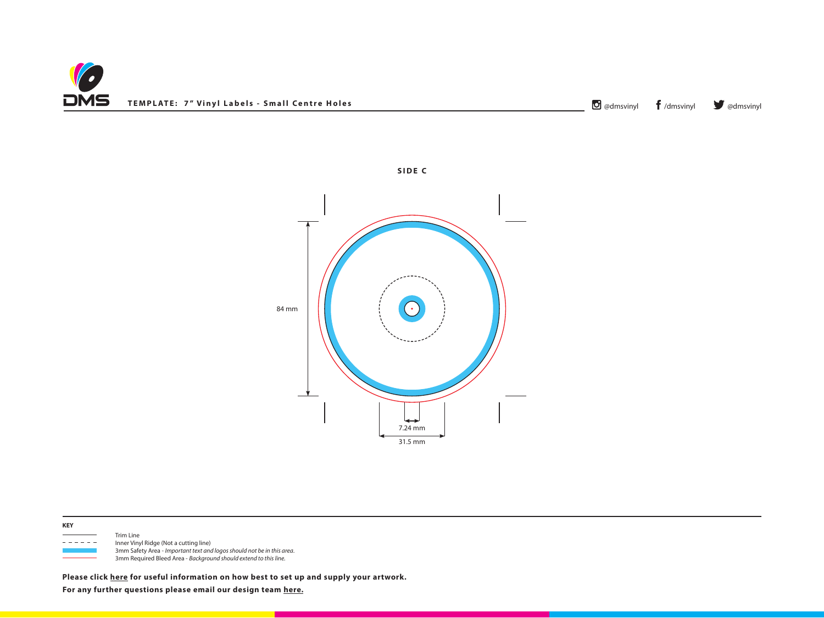





 Trim Line - - - - - Inner Vinyl Ridge (Not a cutting line) 3mm Safety Area - *Important text and logos should not be in this area*. 3mm Required Bleed Area - *Background should extend to this line.*

**Please click [here](http://www.discmanufacturingservices.com/vinyl/templates#artwork-specifications) for useful information on how best to set up and supply your artwork.**

**For any further questions please email our design team [here.](mailto:graphics%40discmanufacturingservices.com?subject=Template%20Enquiry)**